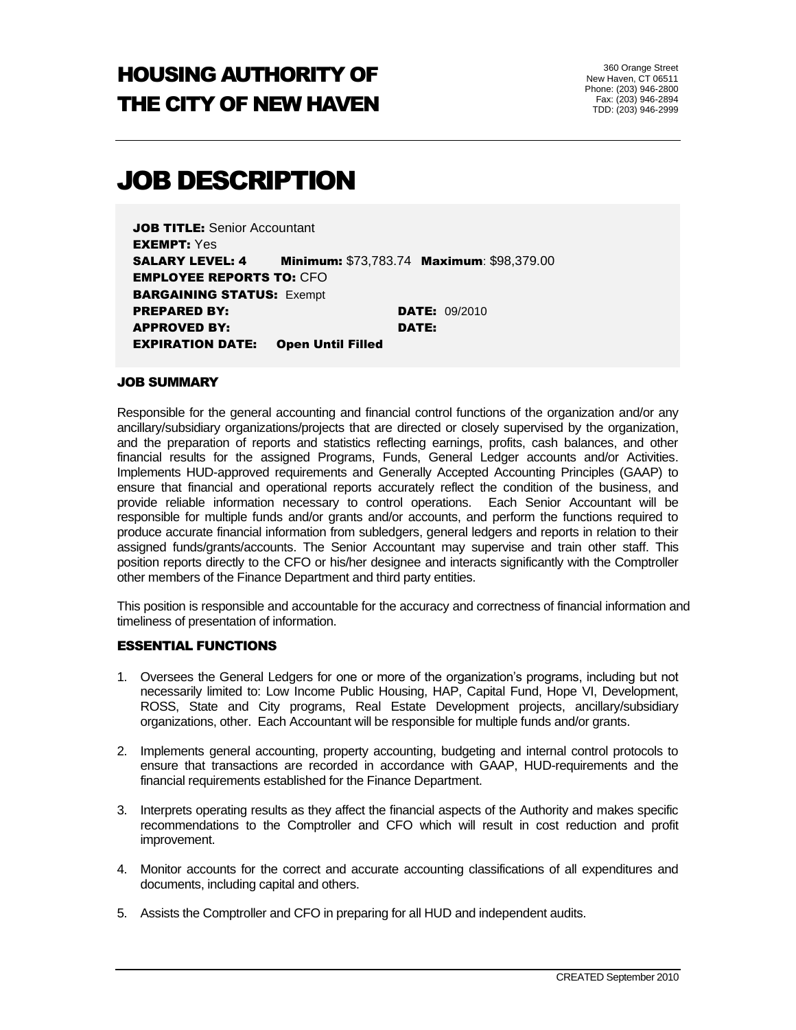# HOUSING AUTHORITY OF THE CITY OF NEW HAVEN

# JOB DESCRIPTION

JOB TITLE: Senior Accountant EXEMPT: Yes SALARY LEVEL: 4 Minimum: \$73,783.74 Maximum: \$98,379.00 EMPLOYEE REPORTS TO: CFO **BARGAINING STATUS: Exempt PREPARED BY: DATE:** 09/2010 APPROVED BY: DATE: EXPIRATION DATE: Open Until Filled

#### JOB SUMMARY

Responsible for the general accounting and financial control functions of the organization and/or any ancillary/subsidiary organizations/projects that are directed or closely supervised by the organization, and the preparation of reports and statistics reflecting earnings, profits, cash balances, and other financial results for the assigned Programs, Funds, General Ledger accounts and/or Activities. Implements HUD-approved requirements and Generally Accepted Accounting Principles (GAAP) to ensure that financial and operational reports accurately reflect the condition of the business, and provide reliable information necessary to control operations. Each Senior Accountant will be responsible for multiple funds and/or grants and/or accounts, and perform the functions required to produce accurate financial information from subledgers, general ledgers and reports in relation to their assigned funds/grants/accounts. The Senior Accountant may supervise and train other staff. This position reports directly to the CFO or his/her designee and interacts significantly with the Comptroller other members of the Finance Department and third party entities.

This position is responsible and accountable for the accuracy and correctness of financial information and timeliness of presentation of information.

#### ESSENTIAL FUNCTIONS

- 1. Oversees the General Ledgers for one or more of the organization's programs, including but not necessarily limited to: Low Income Public Housing, HAP, Capital Fund, Hope VI, Development, ROSS, State and City programs, Real Estate Development projects, ancillary/subsidiary organizations, other. Each Accountant will be responsible for multiple funds and/or grants.
- 2. Implements general accounting, property accounting, budgeting and internal control protocols to ensure that transactions are recorded in accordance with GAAP, HUD-requirements and the financial requirements established for the Finance Department.
- 3. Interprets operating results as they affect the financial aspects of the Authority and makes specific recommendations to the Comptroller and CFO which will result in cost reduction and profit improvement.
- 4. Monitor accounts for the correct and accurate accounting classifications of all expenditures and documents, including capital and others.
- 5. Assists the Comptroller and CFO in preparing for all HUD and independent audits.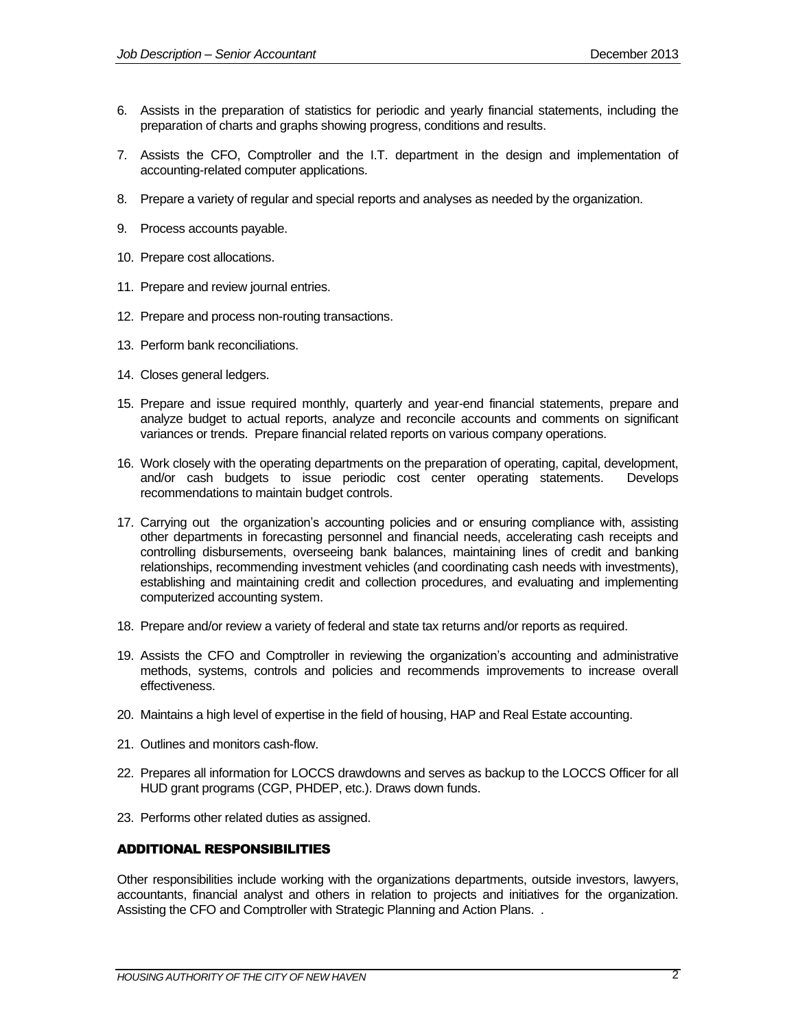- 6. Assists in the preparation of statistics for periodic and yearly financial statements, including the preparation of charts and graphs showing progress, conditions and results.
- 7. Assists the CFO, Comptroller and the I.T. department in the design and implementation of accounting-related computer applications.
- 8. Prepare a variety of regular and special reports and analyses as needed by the organization.
- 9. Process accounts payable.
- 10. Prepare cost allocations.
- 11. Prepare and review journal entries.
- 12. Prepare and process non-routing transactions.
- 13. Perform bank reconciliations.
- 14. Closes general ledgers.
- 15. Prepare and issue required monthly, quarterly and year-end financial statements, prepare and analyze budget to actual reports, analyze and reconcile accounts and comments on significant variances or trends. Prepare financial related reports on various company operations.
- 16. Work closely with the operating departments on the preparation of operating, capital, development, and/or cash budgets to issue periodic cost center operating statements. Develops recommendations to maintain budget controls.
- 17. Carrying out the organization's accounting policies and or ensuring compliance with, assisting other departments in forecasting personnel and financial needs, accelerating cash receipts and controlling disbursements, overseeing bank balances, maintaining lines of credit and banking relationships, recommending investment vehicles (and coordinating cash needs with investments), establishing and maintaining credit and collection procedures, and evaluating and implementing computerized accounting system.
- 18. Prepare and/or review a variety of federal and state tax returns and/or reports as required.
- 19. Assists the CFO and Comptroller in reviewing the organization's accounting and administrative methods, systems, controls and policies and recommends improvements to increase overall effectiveness.
- 20. Maintains a high level of expertise in the field of housing, HAP and Real Estate accounting.
- 21. Outlines and monitors cash-flow.
- 22. Prepares all information for LOCCS drawdowns and serves as backup to the LOCCS Officer for all HUD grant programs (CGP, PHDEP, etc.). Draws down funds.
- 23. Performs other related duties as assigned.

#### ADDITIONAL RESPONSIBILITIES

Other responsibilities include working with the organizations departments, outside investors, lawyers, accountants, financial analyst and others in relation to projects and initiatives for the organization. Assisting the CFO and Comptroller with Strategic Planning and Action Plans. .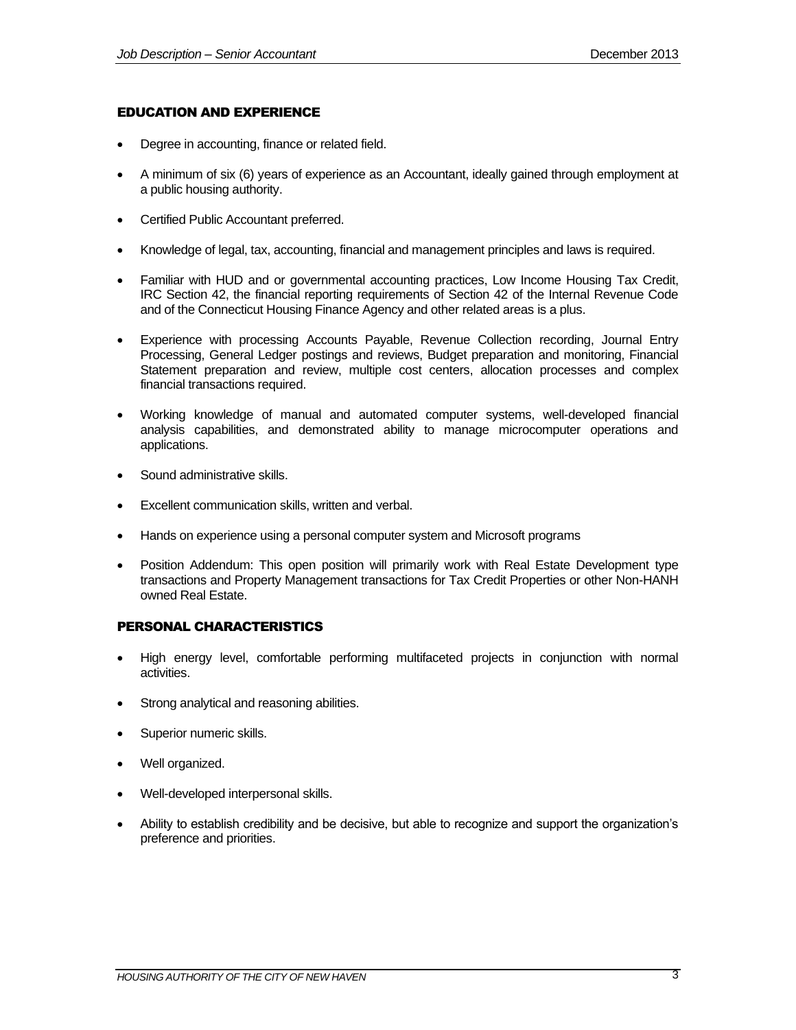#### EDUCATION AND EXPERIENCE

- Degree in accounting, finance or related field.
- A minimum of six (6) years of experience as an Accountant, ideally gained through employment at a public housing authority.
- Certified Public Accountant preferred.
- Knowledge of legal, tax, accounting, financial and management principles and laws is required.
- Familiar with HUD and or governmental accounting practices, Low Income Housing Tax Credit, IRC Section 42, the financial reporting requirements of Section 42 of the Internal Revenue Code and of the Connecticut Housing Finance Agency and other related areas is a plus.
- Experience with processing Accounts Payable, Revenue Collection recording, Journal Entry Processing, General Ledger postings and reviews, Budget preparation and monitoring, Financial Statement preparation and review, multiple cost centers, allocation processes and complex financial transactions required.
- Working knowledge of manual and automated computer systems, well-developed financial analysis capabilities, and demonstrated ability to manage microcomputer operations and applications.
- Sound administrative skills.
- Excellent communication skills, written and verbal.
- Hands on experience using a personal computer system and Microsoft programs
- Position Addendum: This open position will primarily work with Real Estate Development type transactions and Property Management transactions for Tax Credit Properties or other Non-HANH owned Real Estate.

## PERSONAL CHARACTERISTICS

- High energy level, comfortable performing multifaceted projects in conjunction with normal activities.
- Strong analytical and reasoning abilities.
- Superior numeric skills.
- Well organized.
- Well-developed interpersonal skills.
- Ability to establish credibility and be decisive, but able to recognize and support the organization's preference and priorities.